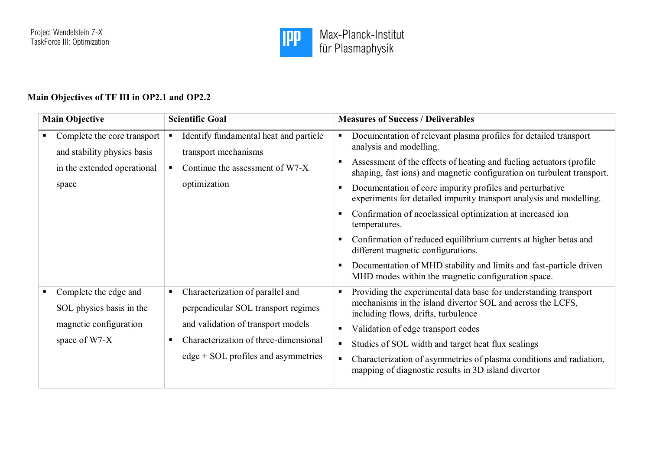

## **Main Objectives of TF III in OP2.1 and OP2.2**

| <b>Main Objective</b>                                                                              | <b>Scientific Goal</b>                                                                                                                                                                                  | <b>Measures of Success / Deliverables</b>                                                                                                                                                                                                                                                                                                                                                                                                                                                                                                                                                                                                                                                            |
|----------------------------------------------------------------------------------------------------|---------------------------------------------------------------------------------------------------------------------------------------------------------------------------------------------------------|------------------------------------------------------------------------------------------------------------------------------------------------------------------------------------------------------------------------------------------------------------------------------------------------------------------------------------------------------------------------------------------------------------------------------------------------------------------------------------------------------------------------------------------------------------------------------------------------------------------------------------------------------------------------------------------------------|
| Complete the core transport<br>and stability physics basis<br>in the extended operational<br>space | Identify fundamental heat and particle<br>transport mechanisms<br>Continue the assessment of W7-X<br>$\blacksquare$<br>optimization                                                                     | Documentation of relevant plasma profiles for detailed transport<br>analysis and modelling.<br>Assessment of the effects of heating and fueling actuators (profile<br>shaping, fast ions) and magnetic configuration on turbulent transport.<br>Documentation of core impurity profiles and perturbative<br>experiments for detailed impurity transport analysis and modelling.<br>Confirmation of neoclassical optimization at increased ion<br>temperatures.<br>Confirmation of reduced equilibrium currents at higher betas and<br>different magnetic configurations.<br>Documentation of MHD stability and limits and fast-particle driven<br>MHD modes within the magnetic configuration space. |
| Complete the edge and<br>SOL physics basis in the<br>magnetic configuration<br>space of W7-X       | Characterization of parallel and<br>п<br>perpendicular SOL transport regimes<br>and validation of transport models<br>Characterization of three-dimensional<br>٠<br>edge + SOL profiles and asymmetries | Providing the experimental data base for understanding transport<br>mechanisms in the island divertor SOL and across the LCFS,<br>including flows, drifts, turbulence<br>Validation of edge transport codes<br>Studies of SOL width and target heat flux scalings<br>$\blacksquare$<br>Characterization of asymmetries of plasma conditions and radiation,<br>mapping of diagnostic results in 3D island divertor                                                                                                                                                                                                                                                                                    |